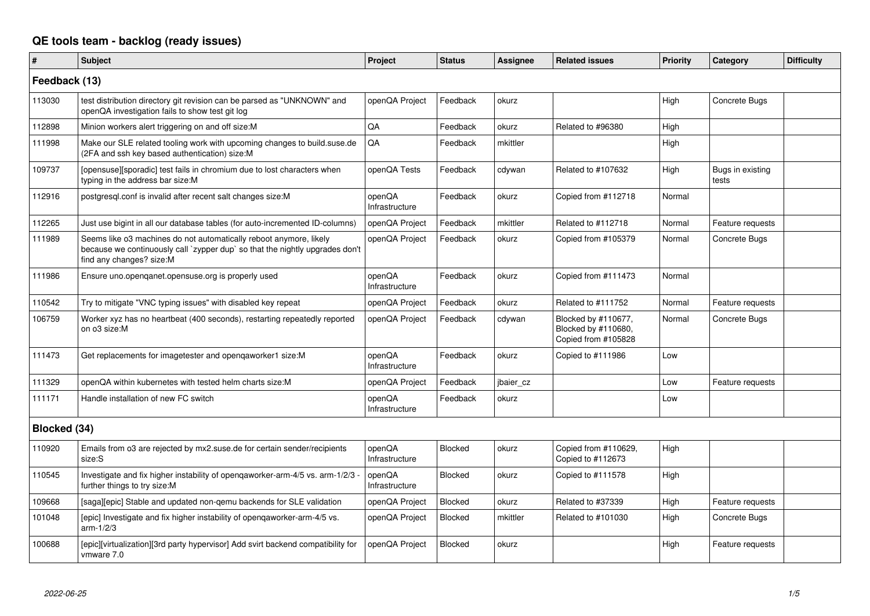## **QE tools team - backlog (ready issues)**

| $\vert$ #     | <b>Subject</b>                                                                                                                                                                 | Project                  | <b>Status</b>  | <b>Assignee</b> | <b>Related issues</b>                                             | <b>Priority</b> | Category                  | <b>Difficulty</b> |
|---------------|--------------------------------------------------------------------------------------------------------------------------------------------------------------------------------|--------------------------|----------------|-----------------|-------------------------------------------------------------------|-----------------|---------------------------|-------------------|
| Feedback (13) |                                                                                                                                                                                |                          |                |                 |                                                                   |                 |                           |                   |
| 113030        | test distribution directory git revision can be parsed as "UNKNOWN" and<br>openQA investigation fails to show test git log                                                     | openQA Project           | Feedback       | okurz           |                                                                   | High            | Concrete Bugs             |                   |
| 112898        | Minion workers alert triggering on and off size:M                                                                                                                              | QA                       | Feedback       | okurz           | Related to #96380                                                 | High            |                           |                   |
| 111998        | Make our SLE related tooling work with upcoming changes to build.suse.de<br>(2FA and ssh key based authentication) size:M                                                      | QA                       | Feedback       | mkittler        |                                                                   | High            |                           |                   |
| 109737        | [opensuse][sporadic] test fails in chromium due to lost characters when<br>typing in the address bar size:M                                                                    | openQA Tests             | Feedback       | cdywan          | Related to #107632                                                | High            | Bugs in existing<br>tests |                   |
| 112916        | postgresgl.conf is invalid after recent salt changes size: M                                                                                                                   | openQA<br>Infrastructure | Feedback       | okurz           | Copied from #112718                                               | Normal          |                           |                   |
| 112265        | Just use bigint in all our database tables (for auto-incremented ID-columns)                                                                                                   | openQA Project           | Feedback       | mkittler        | Related to #112718                                                | Normal          | Feature requests          |                   |
| 111989        | Seems like o3 machines do not automatically reboot anymore, likely<br>because we continuously call `zypper dup` so that the nightly upgrades don't<br>find any changes? size:M | openQA Project           | Feedback       | okurz           | Copied from #105379                                               | Normal          | Concrete Bugs             |                   |
| 111986        | Ensure uno openganet opensuse org is properly used                                                                                                                             | openQA<br>Infrastructure | Feedback       | okurz           | Copied from #111473                                               | Normal          |                           |                   |
| 110542        | Try to mitigate "VNC typing issues" with disabled key repeat                                                                                                                   | openQA Project           | Feedback       | okurz           | Related to #111752                                                | Normal          | Feature requests          |                   |
| 106759        | Worker xyz has no heartbeat (400 seconds), restarting repeatedly reported<br>on o3 size:M                                                                                      | openQA Project           | Feedback       | cdywan          | Blocked by #110677,<br>Blocked by #110680,<br>Copied from #105828 | Normal          | Concrete Bugs             |                   |
| 111473        | Get replacements for imagetester and openqaworker1 size:M                                                                                                                      | openQA<br>Infrastructure | Feedback       | okurz           | Copied to #111986                                                 | Low             |                           |                   |
| 111329        | openQA within kubernetes with tested helm charts size:M                                                                                                                        | openQA Project           | Feedback       | jbaier cz       |                                                                   | Low             | Feature requests          |                   |
| 111171        | Handle installation of new FC switch                                                                                                                                           | openQA<br>Infrastructure | Feedback       | okurz           |                                                                   | Low             |                           |                   |
| Blocked (34)  |                                                                                                                                                                                |                          |                |                 |                                                                   |                 |                           |                   |
| 110920        | Emails from o3 are rejected by mx2.suse.de for certain sender/recipients<br>size:S                                                                                             | openQA<br>Infrastructure | Blocked        | okurz           | Copied from #110629,<br>Copied to #112673                         | High            |                           |                   |
| 110545        | Investigate and fix higher instability of openqaworker-arm-4/5 vs. arm-1/2/3<br>further things to try size:M                                                                   | openQA<br>Infrastructure | Blocked        | okurz           | Copied to #111578                                                 | High            |                           |                   |
| 109668        | [saga][epic] Stable and updated non-gemu backends for SLE validation                                                                                                           | openQA Project           | Blocked        | okurz           | Related to #37339                                                 | High            | Feature requests          |                   |
| 101048        | [epic] Investigate and fix higher instability of openqaworker-arm-4/5 vs.<br>arm-1/2/3                                                                                         | openQA Project           | Blocked        | mkittler        | Related to #101030                                                | High            | Concrete Bugs             |                   |
| 100688        | [epic][virtualization][3rd party hypervisor] Add svirt backend compatibility for<br>vmware 7.0                                                                                 | openQA Project           | <b>Blocked</b> | okurz           |                                                                   | High            | Feature requests          |                   |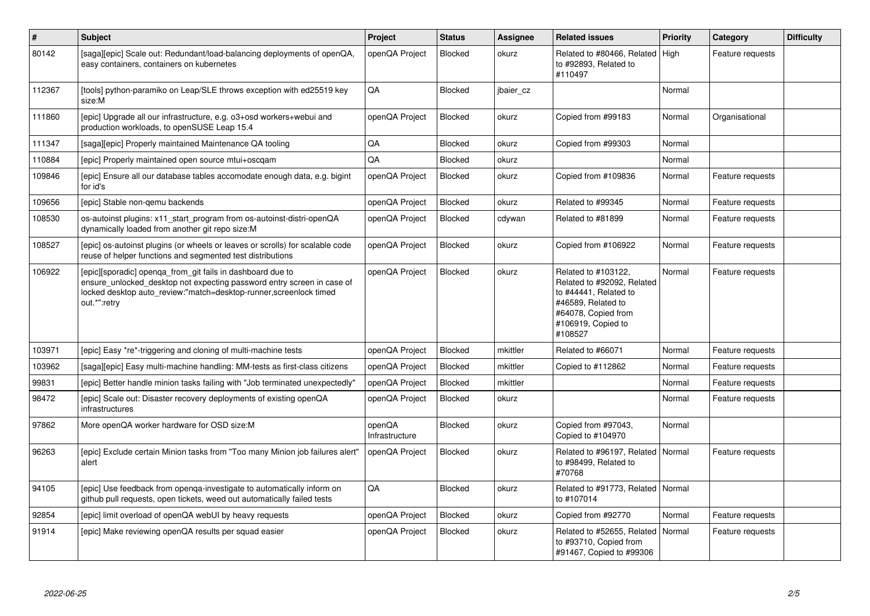| $\sharp$ | <b>Subject</b>                                                                                                                                                                                                            | <b>Project</b>           | <b>Status</b> | Assignee  | <b>Related issues</b>                                                                                                                                    | <b>Priority</b> | Category         | <b>Difficulty</b> |
|----------|---------------------------------------------------------------------------------------------------------------------------------------------------------------------------------------------------------------------------|--------------------------|---------------|-----------|----------------------------------------------------------------------------------------------------------------------------------------------------------|-----------------|------------------|-------------------|
| 80142    | [saga][epic] Scale out: Redundant/load-balancing deployments of openQA,<br>easy containers, containers on kubernetes                                                                                                      | openQA Project           | Blocked       | okurz     | Related to #80466, Related   High<br>to #92893, Related to<br>#110497                                                                                    |                 | Feature requests |                   |
| 112367   | [tools] python-paramiko on Leap/SLE throws exception with ed25519 key<br>size:M                                                                                                                                           | QA                       | Blocked       | jbaier_cz |                                                                                                                                                          | Normal          |                  |                   |
| 111860   | [epic] Upgrade all our infrastructure, e.g. o3+osd workers+webui and<br>production workloads, to openSUSE Leap 15.4                                                                                                       | openQA Project           | Blocked       | okurz     | Copied from #99183                                                                                                                                       | Normal          | Organisational   |                   |
| 111347   | [saga][epic] Properly maintained Maintenance QA tooling                                                                                                                                                                   | QA                       | Blocked       | okurz     | Copied from #99303                                                                                                                                       | Normal          |                  |                   |
| 110884   | [epic] Properly maintained open source mtui+oscgam                                                                                                                                                                        | QA                       | Blocked       | okurz     |                                                                                                                                                          | Normal          |                  |                   |
| 109846   | [epic] Ensure all our database tables accomodate enough data, e.g. bigint<br>for id's                                                                                                                                     | openQA Project           | Blocked       | okurz     | Copied from #109836                                                                                                                                      | Normal          | Feature requests |                   |
| 109656   | [epic] Stable non-gemu backends                                                                                                                                                                                           | openQA Project           | Blocked       | okurz     | Related to #99345                                                                                                                                        | Normal          | Feature requests |                   |
| 108530   | os-autoinst plugins: x11_start_program from os-autoinst-distri-openQA<br>dynamically loaded from another git repo size:M                                                                                                  | openQA Project           | Blocked       | cdywan    | Related to #81899                                                                                                                                        | Normal          | Feature requests |                   |
| 108527   | [epic] os-autoinst plugins (or wheels or leaves or scrolls) for scalable code<br>reuse of helper functions and segmented test distributions                                                                               | openQA Project           | Blocked       | okurz     | Copied from #106922                                                                                                                                      | Normal          | Feature requests |                   |
| 106922   | [epic][sporadic] openqa_from_git fails in dashboard due to<br>ensure unlocked desktop not expecting password entry screen in case of<br>locked desktop auto_review:"match=desktop-runner,screenlock timed<br>out.*":retry | openQA Project           | Blocked       | okurz     | Related to #103122,<br>Related to #92092, Related<br>to #44441, Related to<br>#46589, Related to<br>#64078, Copied from<br>#106919, Copied to<br>#108527 | Normal          | Feature requests |                   |
| 103971   | [epic] Easy *re*-triggering and cloning of multi-machine tests                                                                                                                                                            | openQA Project           | Blocked       | mkittler  | Related to #66071                                                                                                                                        | Normal          | Feature requests |                   |
| 103962   | [saga][epic] Easy multi-machine handling: MM-tests as first-class citizens                                                                                                                                                | openQA Project           | Blocked       | mkittler  | Copied to #112862                                                                                                                                        | Normal          | Feature requests |                   |
| 99831    | [epic] Better handle minion tasks failing with "Job terminated unexpectedly'                                                                                                                                              | openQA Project           | Blocked       | mkittler  |                                                                                                                                                          | Normal          | Feature requests |                   |
| 98472    | [epic] Scale out: Disaster recovery deployments of existing openQA<br>infrastructures                                                                                                                                     | openQA Project           | Blocked       | okurz     |                                                                                                                                                          | Normal          | Feature requests |                   |
| 97862    | More openQA worker hardware for OSD size:M                                                                                                                                                                                | openQA<br>Infrastructure | Blocked       | okurz     | Copied from #97043.<br>Copied to #104970                                                                                                                 | Normal          |                  |                   |
| 96263    | [epic] Exclude certain Minion tasks from "Too many Minion job failures alert"<br>alert                                                                                                                                    | openQA Project           | Blocked       | okurz     | Related to #96197, Related   Normal<br>to #98499, Related to<br>#70768                                                                                   |                 | Feature requests |                   |
| 94105    | [epic] Use feedback from openga-investigate to automatically inform on<br>github pull requests, open tickets, weed out automatically failed tests                                                                         | QA                       | Blocked       | okurz     | Related to #91773, Related   Normal<br>to #107014                                                                                                        |                 |                  |                   |
| 92854    | [epic] limit overload of openQA webUI by heavy requests                                                                                                                                                                   | openQA Project           | Blocked       | okurz     | Copied from #92770                                                                                                                                       | Normal          | Feature requests |                   |
| 91914    | [epic] Make reviewing openQA results per squad easier                                                                                                                                                                     | openQA Project           | Blocked       | okurz     | Related to #52655, Related   Normal<br>to #93710, Copied from<br>#91467, Copied to #99306                                                                |                 | Feature requests |                   |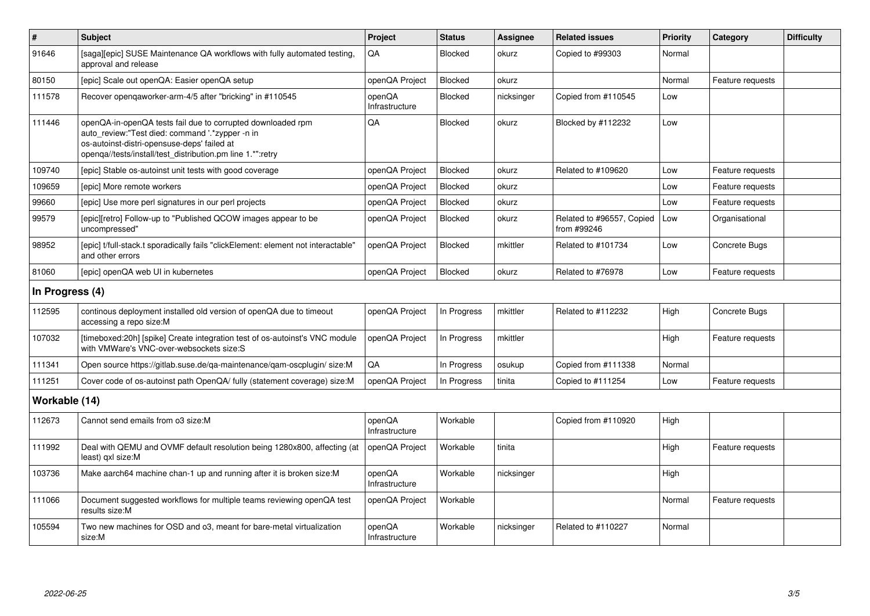| $\sharp$        | <b>Subject</b>                                                                                                                                                                                                              | Project                  | <b>Status</b> | Assignee   | <b>Related issues</b>                    | <b>Priority</b> | Category         | <b>Difficulty</b> |
|-----------------|-----------------------------------------------------------------------------------------------------------------------------------------------------------------------------------------------------------------------------|--------------------------|---------------|------------|------------------------------------------|-----------------|------------------|-------------------|
| 91646           | [saga][epic] SUSE Maintenance QA workflows with fully automated testing,<br>approval and release                                                                                                                            | QA                       | Blocked       | okurz      | Copied to #99303                         | Normal          |                  |                   |
| 80150           | [epic] Scale out openQA: Easier openQA setup                                                                                                                                                                                | openQA Project           | Blocked       | okurz      |                                          | Normal          | Feature requests |                   |
| 111578          | Recover opengaworker-arm-4/5 after "bricking" in #110545                                                                                                                                                                    | openQA<br>Infrastructure | Blocked       | nicksinger | Copied from #110545                      | Low             |                  |                   |
| 111446          | openQA-in-openQA tests fail due to corrupted downloaded rpm<br>auto review:"Test died: command '.*zypper -n in<br>os-autoinst-distri-opensuse-deps' failed at<br>openqa//tests/install/test_distribution.pm line 1.*":retry | QA                       | Blocked       | okurz      | Blocked by #112232                       | Low             |                  |                   |
| 109740          | [epic] Stable os-autoinst unit tests with good coverage                                                                                                                                                                     | openQA Project           | Blocked       | okurz      | Related to #109620                       | Low             | Feature requests |                   |
| 109659          | [epic] More remote workers                                                                                                                                                                                                  | openQA Project           | Blocked       | okurz      |                                          | Low             | Feature requests |                   |
| 99660           | [epic] Use more perl signatures in our perl projects                                                                                                                                                                        | openQA Project           | Blocked       | okurz      |                                          | Low             | Feature requests |                   |
| 99579           | [epic][retro] Follow-up to "Published QCOW images appear to be<br>uncompressed"                                                                                                                                             | openQA Project           | Blocked       | okurz      | Related to #96557, Copied<br>from #99246 | Low             | Organisational   |                   |
| 98952           | [epic] t/full-stack.t sporadically fails "clickElement: element not interactable'<br>and other errors                                                                                                                       | openQA Project           | Blocked       | mkittler   | Related to #101734                       | Low             | Concrete Bugs    |                   |
| 81060           | [epic] openQA web UI in kubernetes                                                                                                                                                                                          | openQA Project           | Blocked       | okurz      | Related to #76978                        | Low             | Feature requests |                   |
| In Progress (4) |                                                                                                                                                                                                                             |                          |               |            |                                          |                 |                  |                   |
| 112595          | continous deployment installed old version of openQA due to timeout<br>accessing a repo size:M                                                                                                                              | openQA Project           | In Progress   | mkittler   | Related to #112232                       | High            | Concrete Bugs    |                   |
| 107032          | [timeboxed:20h] [spike] Create integration test of os-autoinst's VNC module<br>with VMWare's VNC-over-websockets size:S                                                                                                     | openQA Project           | In Progress   | mkittler   |                                          | High            | Feature requests |                   |
| 111341          | Open source https://gitlab.suse.de/ga-maintenance/gam-oscplugin/ size:M                                                                                                                                                     | QA                       | In Progress   | osukup     | Copied from #111338                      | Normal          |                  |                   |
| 111251          | Cover code of os-autoinst path OpenQA/ fully (statement coverage) size:M                                                                                                                                                    | openQA Project           | In Progress   | tinita     | Copied to #111254                        | Low             | Feature requests |                   |
| Workable (14)   |                                                                                                                                                                                                                             |                          |               |            |                                          |                 |                  |                   |
| 112673          | Cannot send emails from o3 size:M                                                                                                                                                                                           | openQA<br>Infrastructure | Workable      |            | Copied from #110920                      | High            |                  |                   |
| 111992          | Deal with QEMU and OVMF default resolution being 1280x800, affecting (at<br>least) qxl size:M                                                                                                                               | openQA Project           | Workable      | tinita     |                                          | High            | Feature requests |                   |
| 103736          | Make aarch64 machine chan-1 up and running after it is broken size:M                                                                                                                                                        | openQA<br>Infrastructure | Workable      | nicksinger |                                          | High            |                  |                   |
| 111066          | Document suggested workflows for multiple teams reviewing openQA test<br>results size:M                                                                                                                                     | openQA Project           | Workable      |            |                                          | Normal          | Feature requests |                   |
| 105594          | Two new machines for OSD and o3, meant for bare-metal virtualization<br>size:M                                                                                                                                              | openQA<br>Infrastructure | Workable      | nicksinger | Related to #110227                       | Normal          |                  |                   |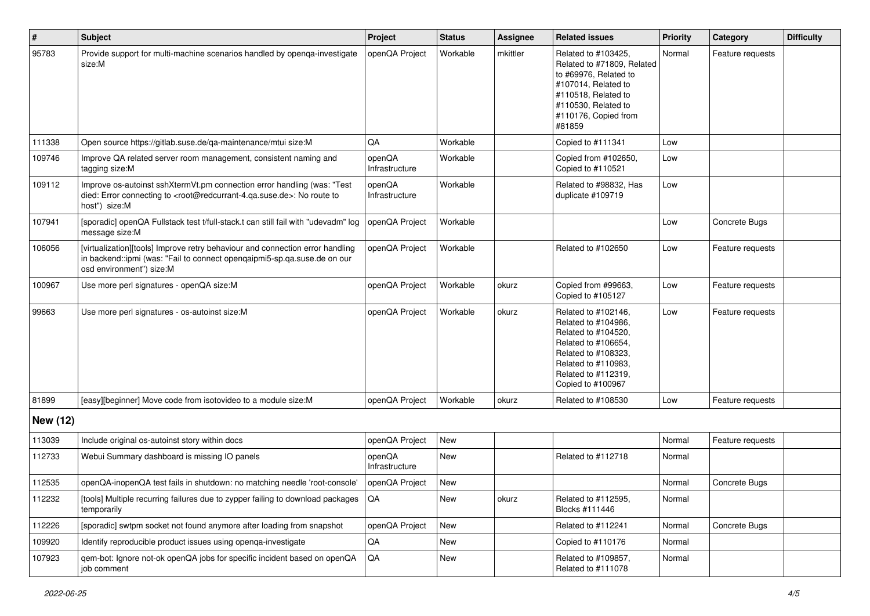| #               | <b>Subject</b>                                                                                                                                                                                    | Project                  | <b>Status</b> | Assignee | <b>Related issues</b>                                                                                                                                                              | Priority | Category         | <b>Difficulty</b> |
|-----------------|---------------------------------------------------------------------------------------------------------------------------------------------------------------------------------------------------|--------------------------|---------------|----------|------------------------------------------------------------------------------------------------------------------------------------------------------------------------------------|----------|------------------|-------------------|
| 95783           | Provide support for multi-machine scenarios handled by openga-investigate<br>size:M                                                                                                               | openQA Project           | Workable      | mkittler | Related to #103425,<br>Related to #71809, Related<br>to #69976, Related to<br>#107014, Related to<br>#110518, Related to<br>#110530, Related to<br>#110176, Copied from<br>#81859  | Normal   | Feature requests |                   |
| 111338          | Open source https://gitlab.suse.de/ga-maintenance/mtui size:M                                                                                                                                     | QA                       | Workable      |          | Copied to #111341                                                                                                                                                                  | Low      |                  |                   |
| 109746          | Improve QA related server room management, consistent naming and<br>tagging size:M                                                                                                                | openQA<br>Infrastructure | Workable      |          | Copied from #102650,<br>Copied to #110521                                                                                                                                          | Low      |                  |                   |
| 109112          | Improve os-autoinst sshXtermVt.pm connection error handling (was: "Test<br>died: Error connecting to <root@redcurrant-4.qa.suse.de>: No route to<br/>host") size:M</root@redcurrant-4.qa.suse.de> | openQA<br>Infrastructure | Workable      |          | Related to #98832, Has<br>duplicate #109719                                                                                                                                        | Low      |                  |                   |
| 107941          | [sporadic] openQA Fullstack test t/full-stack.t can still fail with "udevadm" log<br>message size:M                                                                                               | openQA Project           | Workable      |          |                                                                                                                                                                                    | Low      | Concrete Bugs    |                   |
| 106056          | [virtualization][tools] Improve retry behaviour and connection error handling<br>in backend::ipmi (was: "Fail to connect opengaipmi5-sp.ga.suse.de on our<br>osd environment") size:M             | openQA Project           | Workable      |          | Related to #102650                                                                                                                                                                 | Low      | Feature requests |                   |
| 100967          | Use more perl signatures - openQA size:M                                                                                                                                                          | openQA Project           | Workable      | okurz    | Copied from #99663,<br>Copied to #105127                                                                                                                                           | Low      | Feature requests |                   |
| 99663           | Use more perl signatures - os-autoinst size:M                                                                                                                                                     | openQA Project           | Workable      | okurz    | Related to #102146,<br>Related to #104986,<br>Related to #104520,<br>Related to #106654,<br>Related to #108323,<br>Related to #110983,<br>Related to #112319,<br>Copied to #100967 | Low      | Feature requests |                   |
| 81899           | [easy][beginner] Move code from isotovideo to a module size:M                                                                                                                                     | openQA Project           | Workable      | okurz    | Related to #108530                                                                                                                                                                 | Low      | Feature requests |                   |
| <b>New (12)</b> |                                                                                                                                                                                                   |                          |               |          |                                                                                                                                                                                    |          |                  |                   |
| 113039          | Include original os-autoinst story within docs                                                                                                                                                    | openQA Project           | <b>New</b>    |          |                                                                                                                                                                                    | Normal   | Feature requests |                   |
| 112733          | Webui Summary dashboard is missing IO panels                                                                                                                                                      | openQA<br>Infrastructure | New           |          | Related to #112718                                                                                                                                                                 | Normal   |                  |                   |
| 112535          | openQA-inopenQA test fails in shutdown: no matching needle 'root-console'                                                                                                                         | openQA Project           | New           |          |                                                                                                                                                                                    | Normal   | Concrete Bugs    |                   |
| 112232          | [tools] Multiple recurring failures due to zypper failing to download packages   QA<br>temporarily                                                                                                |                          | New           | okurz    | Related to #112595,<br>Blocks #111446                                                                                                                                              | Normal   |                  |                   |
| 112226          | [sporadic] swtpm socket not found anymore after loading from snapshot                                                                                                                             | openQA Project           | New           |          | Related to #112241                                                                                                                                                                 | Normal   | Concrete Bugs    |                   |
| 109920          | Identify reproducible product issues using openga-investigate                                                                                                                                     | QA                       | New           |          | Copied to #110176                                                                                                                                                                  | Normal   |                  |                   |
| 107923          | gem-bot: Ignore not-ok openQA jobs for specific incident based on openQA<br>job comment                                                                                                           | QA                       | New           |          | Related to #109857,<br>Related to #111078                                                                                                                                          | Normal   |                  |                   |